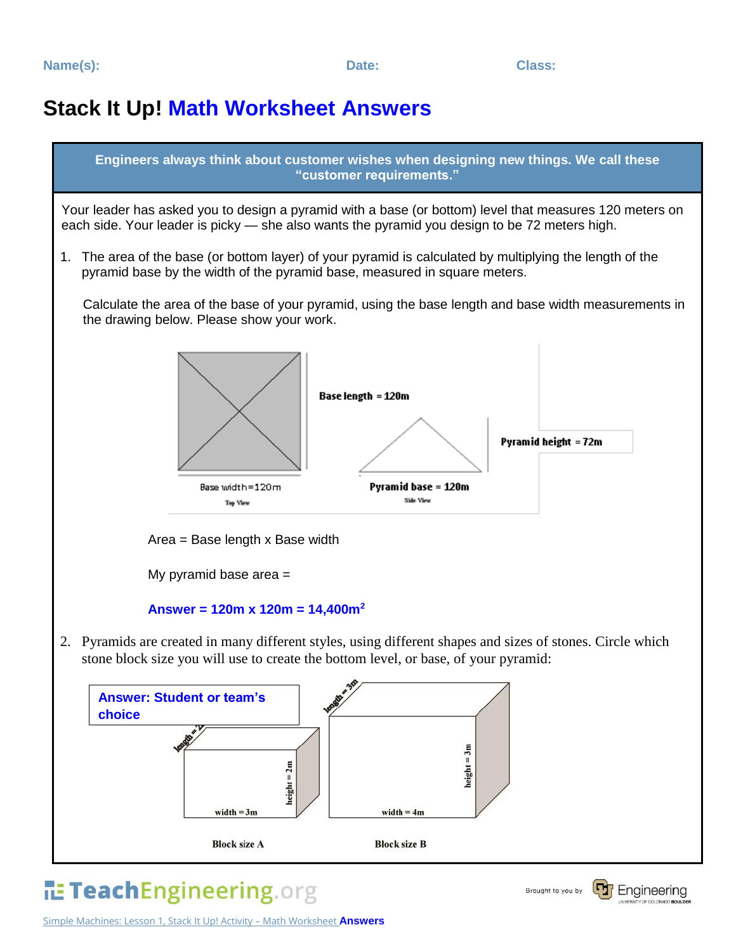## **Stack It Up! Math Worksheet Answers**



## Simple Machines: Lesson 1, Stack It Up! Activity – Math Worksheet **Answers**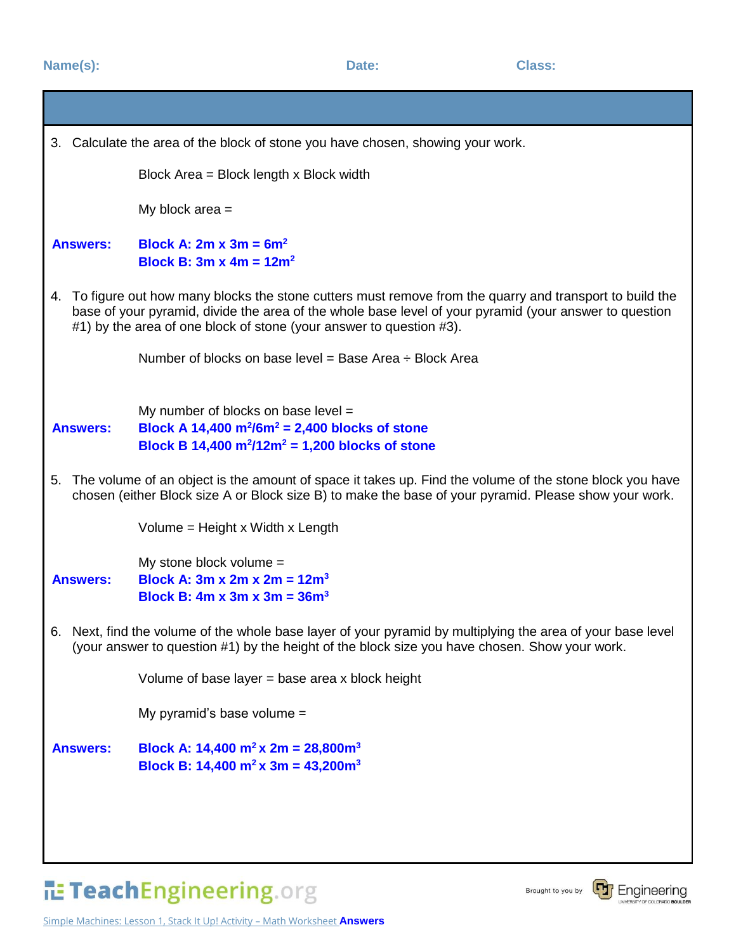| 3. Calculate the area of the block of stone you have chosen, showing your work.                                                                                                                                                                                                            |                                                                                                                                                  |
|--------------------------------------------------------------------------------------------------------------------------------------------------------------------------------------------------------------------------------------------------------------------------------------------|--------------------------------------------------------------------------------------------------------------------------------------------------|
|                                                                                                                                                                                                                                                                                            | Block Area = Block length x Block width                                                                                                          |
|                                                                                                                                                                                                                                                                                            | My block area $=$                                                                                                                                |
| <b>Answers:</b>                                                                                                                                                                                                                                                                            | Block A: $2m \times 3m = 6m^2$<br><b>Block B: 3m x 4m = 12m<sup>2</sup></b>                                                                      |
| 4. To figure out how many blocks the stone cutters must remove from the quarry and transport to build the<br>base of your pyramid, divide the area of the whole base level of your pyramid (your answer to question<br>#1) by the area of one block of stone (your answer to question #3). |                                                                                                                                                  |
|                                                                                                                                                                                                                                                                                            | Number of blocks on base level = Base Area $\div$ Block Area                                                                                     |
| <b>Answers:</b>                                                                                                                                                                                                                                                                            | My number of blocks on base level $=$<br>Block A 14,400 $m^2/6m^2 = 2,400$ blocks of stone<br>Block B 14,400 $m^2/12m^2 = 1,200$ blocks of stone |
| 5. The volume of an object is the amount of space it takes up. Find the volume of the stone block you have<br>chosen (either Block size A or Block size B) to make the base of your pyramid. Please show your work.                                                                        |                                                                                                                                                  |
|                                                                                                                                                                                                                                                                                            | Volume = Height x Width x Length                                                                                                                 |
| <b>Answers:</b>                                                                                                                                                                                                                                                                            | My stone block volume =<br>Block A: 3m x 2m x 2m = $12m^3$<br>Block B: 4m x 3m x 3m = $36m^3$                                                    |
| 6. Next, find the volume of the whole base layer of your pyramid by multiplying the area of your base level<br>(your answer to question #1) by the height of the block size you have chosen. Show your work.                                                                               |                                                                                                                                                  |
|                                                                                                                                                                                                                                                                                            | Volume of base layer $=$ base area x block height                                                                                                |
|                                                                                                                                                                                                                                                                                            | My pyramid's base volume =                                                                                                                       |
| <b>Answers:</b>                                                                                                                                                                                                                                                                            | Block A: 14,400 m <sup>2</sup> x 2m = 28,800m <sup>3</sup><br>Block B: 14,400 m <sup>2</sup> x 3m = 43,200m <sup>3</sup>                         |
|                                                                                                                                                                                                                                                                                            |                                                                                                                                                  |
|                                                                                                                                                                                                                                                                                            |                                                                                                                                                  |

TeachEngineering.org